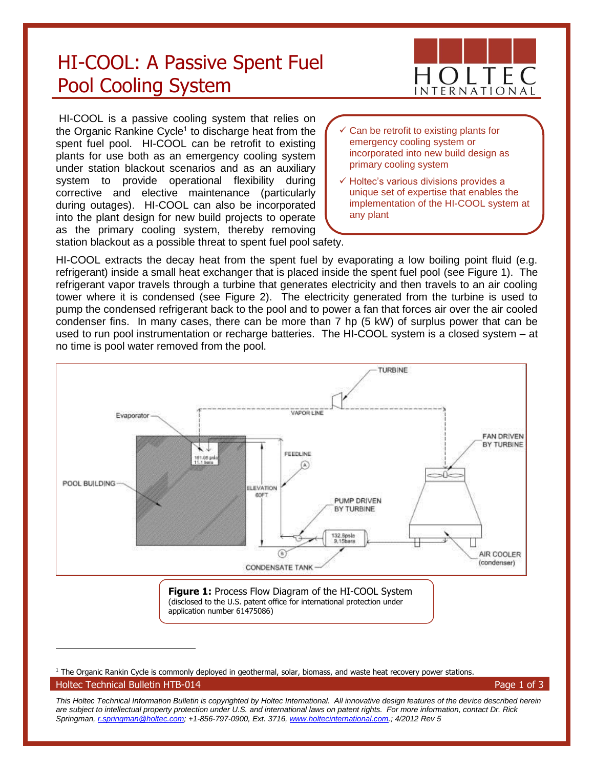## HI-COOL: A Passive Spent Fuel Pool Cooling System

HI-COOL is a passive cooling system that relies on the Organic Rankine Cycle<sup>1</sup> to discharge heat from the spent fuel pool. HI-COOL can be retrofit to existing plants for use both as an emergency cooling system under station blackout scenarios and as an auxiliary system to provide operational flexibility during corrective and elective maintenance (particularly during outages). HI-COOL can also be incorporated into the plant design for new build projects to operate as the primary cooling system, thereby removing station blackout as a possible threat to spent fuel pool safety.

- Can be retrofit to existing plants for emergency cooling system or incorporated into new build design as primary cooling system
- ✓ Holtec's various divisions provides a unique set of expertise that enables the implementation of the HI-COOL system at any plant

HI-COOL extracts the decay heat from the spent fuel by evaporating a low boiling point fluid (e.g. refrigerant) inside a small heat exchanger that is placed inside the spent fuel pool (see Figure 1). The refrigerant vapor travels through a turbine that generates electricity and then travels to an air cooling tower where it is condensed (see Figure 2). The electricity generated from the turbine is used to pump the condensed refrigerant back to the pool and to power a fan that forces air over the air cooled condenser fins. In many cases, there can be more than 7 hp (5 kW) of surplus power that can be used to run pool instrumentation or recharge batteries. The HI-COOL system is a closed system – at no time is pool water removed from the pool.



Holtec Technical Bulletin HTB-014 **Page 1 of 3** Alternative Management of 2 Alternative Mage 1 of 3 <sup>1</sup> The Organic Rankin Cycle is commonly deployed in geothermal, solar, biomass, and waste heat recovery power stations.

 $\overline{a}$ 

*This Holtec Technical Information Bulletin is copyrighted by Holtec International. All innovative design features of the device described herein are subject to intellectual property protection under U.S. and international laws on patent rights. For more information, contact Dr. Rick Springman[, r.springman@holtec.com;](mailto:r.springman@holtec.com) +1-856-797-0900, Ext. 3716[, www.holtecinternational.com.;](http://www.holtecinternational.com/) 4/2012 Rev 5*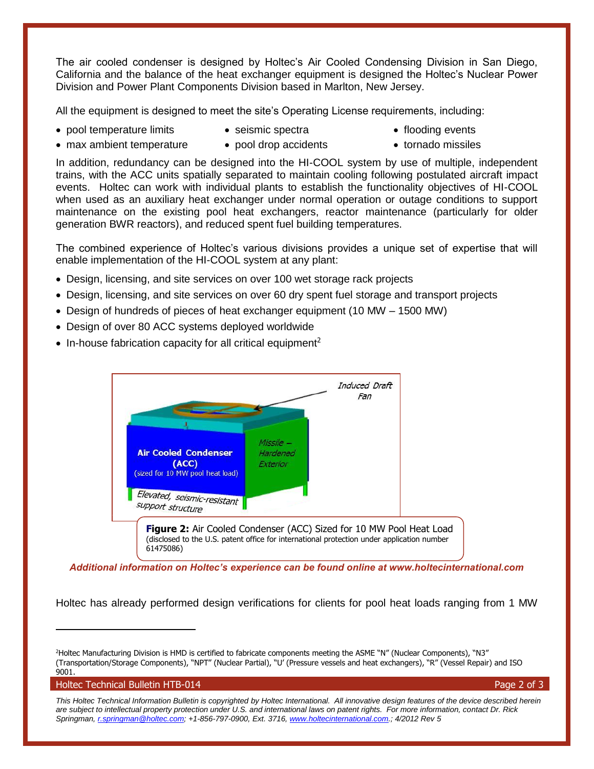The air cooled condenser is designed by Holtec's Air Cooled Condensing Division in San Diego, California and the balance of the heat exchanger equipment is designed the Holtec's Nuclear Power Division and Power Plant Components Division based in Marlton, New Jersey.

All the equipment is designed to meet the site's Operating License requirements, including:

- pool temperature limits
- seismic spectra

• flooding events

- max ambient temperature
- pool drop accidents
- tornado missiles

In addition, redundancy can be designed into the HI-COOL system by use of multiple, independent trains, with the ACC units spatially separated to maintain cooling following postulated aircraft impact events. Holtec can work with individual plants to establish the functionality objectives of HI-COOL when used as an auxiliary heat exchanger under normal operation or outage conditions to support maintenance on the existing pool heat exchangers, reactor maintenance (particularly for older generation BWR reactors), and reduced spent fuel building temperatures.

The combined experience of Holtec's various divisions provides a unique set of expertise that will enable implementation of the HI-COOL system at any plant:

- Design, licensing, and site services on over 100 wet storage rack projects
- Design, licensing, and site services on over 60 dry spent fuel storage and transport projects
- Design of hundreds of pieces of heat exchanger equipment (10 MW 1500 MW)
- Design of over 80 ACC systems deployed worldwide
- In-house fabrication capacity for all critical equipment<sup>2</sup>



*Additional information on Holtec's experience can be found online at www.holtecinternational.com*

Holtec has already performed design verifications for clients for pool heat loads ranging from 1 MW

Holtec Technical Bulletin HTB-014 Page 2 of 3

 $\overline{a}$ 

<sup>2</sup>Holtec Manufacturing Division is HMD is certified to fabricate components meeting the ASME "N" (Nuclear Components), "N3" (Transportation/Storage Components), "NPT" (Nuclear Partial), "U' (Pressure vessels and heat exchangers), "R" (Vessel Repair) and ISO 9001.

*This Holtec Technical Information Bulletin is copyrighted by Holtec International. All innovative design features of the device described herein are subject to intellectual property protection under U.S. and international laws on patent rights. For more information, contact Dr. Rick Springman[, r.springman@holtec.com;](mailto:r.springman@holtec.com) +1-856-797-0900, Ext. 3716[, www.holtecinternational.com.;](http://www.holtecinternational.com/) 4/2012 Rev 5*